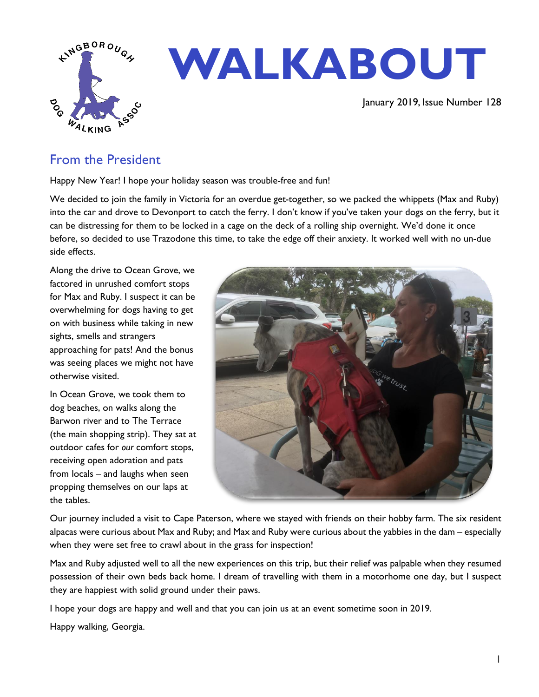

# **WALKABOUT**

January 2019, Issue Number 128

## From the President

Happy New Year! I hope your holiday season was trouble-free and fun!

We decided to join the family in Victoria for an overdue get-together, so we packed the whippets (Max and Ruby) into the car and drove to Devonport to catch the ferry. I don't know if you've taken your dogs on the ferry, but it can be distressing for them to be locked in a cage on the deck of a rolling ship overnight. We'd done it once before, so decided to use Trazodone this time, to take the edge off their anxiety. It worked well with no un-due side effects.

Along the drive to Ocean Grove, we factored in unrushed comfort stops for Max and Ruby. I suspect it can be overwhelming for dogs having to get on with business while taking in new sights, smells and strangers approaching for pats! And the bonus was seeing places we might not have otherwise visited.

In Ocean Grove, we took them to dog beaches, on walks along the Barwon river and to The Terrace (the main shopping strip). They sat at outdoor cafes for *our* comfort stops, receiving open adoration and pats from locals – and laughs when seen propping themselves on our laps at the tables.



Our journey included a visit to Cape Paterson, where we stayed with friends on their hobby farm. The six resident alpacas were curious about Max and Ruby; and Max and Ruby were curious about the yabbies in the dam – especially when they were set free to crawl about in the grass for inspection!

Max and Ruby adjusted well to all the new experiences on this trip, but their relief was palpable when they resumed possession of their own beds back home. I dream of travelling with them in a motorhome one day, but I suspect they are happiest with solid ground under their paws.

I hope your dogs are happy and well and that you can join us at an event sometime soon in 2019.

Happy walking, Georgia.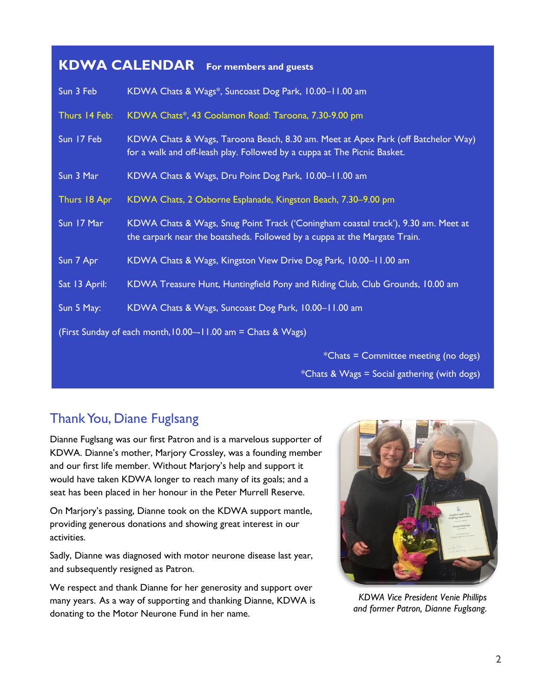# **KDWA CALENDAR For members and guests**

| Sun 3 Feb     | KDWA Chats & Wags*, Suncoast Dog Park, 10.00-11.00 am                                                                                                          |  |  |
|---------------|----------------------------------------------------------------------------------------------------------------------------------------------------------------|--|--|
| Thurs 14 Feb: | KDWA Chats*, 43 Coolamon Road: Taroona, 7.30-9.00 pm                                                                                                           |  |  |
| Sun 17 Feb    | KDWA Chats & Wags, Taroona Beach, 8.30 am. Meet at Apex Park (off Batchelor Way)<br>for a walk and off-leash play. Followed by a cuppa at The Picnic Basket.   |  |  |
| Sun 3 Mar     | KDWA Chats & Wags, Dru Point Dog Park, 10.00-11.00 am                                                                                                          |  |  |
| Thurs 18 Apr  | KDWA Chats, 2 Osborne Esplanade, Kingston Beach, 7.30-9.00 pm                                                                                                  |  |  |
| Sun 17 Mar    | KDWA Chats & Wags, Snug Point Track ('Coningham coastal track'), 9.30 am. Meet at<br>the carpark near the boatsheds. Followed by a cuppa at the Margate Train. |  |  |
| Sun 7 Apr     | KDWA Chats & Wags, Kingston View Drive Dog Park, 10.00-11.00 am                                                                                                |  |  |
| Sat 13 April: | KDWA Treasure Hunt, Huntingfield Pony and Riding Club, Club Grounds, 10.00 am                                                                                  |  |  |
| Sun 5 May:    | KDWA Chats & Wags, Suncoast Dog Park, 10.00-11.00 am                                                                                                           |  |  |
|               | (First Sunday of each month, 10.00--11.00 am = Chats & Wags)                                                                                                   |  |  |
|               | *Chats = Committee meeting (no dogs)                                                                                                                           |  |  |
|               | *Chats & Wags = Social gathering (with dogs)                                                                                                                   |  |  |

## ThankYou, Diane Fuglsang

Dianne Fuglsang was our first Patron and is a marvelous supporter of KDWA. Dianne's mother, Marjory Crossley, was a founding member and our first life member. Without Marjory's help and support it would have taken KDWA longer to reach many of its goals; and a seat has been placed in her honour in the Peter Murrell Reserve.

On Marjory's passing, Dianne took on the KDWA support mantle, providing generous donations and showing great interest in our activities.

Sadly, Dianne was diagnosed with motor neurone disease last year, and subsequently resigned as Patron.

We respect and thank Dianne for her generosity and support over many years. As a way of supporting and thanking Dianne, KDWA is donating to the Motor Neurone Fund in her name.



*KDWA Vice President Venie Phillips and former Patron, Dianne Fuglsang.*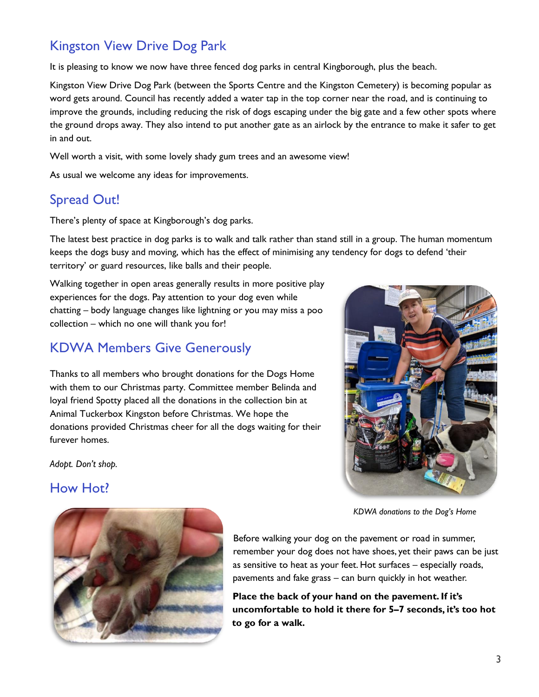# Kingston View Drive Dog Park

It is pleasing to know we now have three fenced dog parks in central Kingborough, plus the beach.

Kingston View Drive Dog Park (between the Sports Centre and the Kingston Cemetery) is becoming popular as word gets around. Council has recently added a water tap in the top corner near the road, and is continuing to improve the grounds, including reducing the risk of dogs escaping under the big gate and a few other spots where the ground drops away. They also intend to put another gate as an airlock by the entrance to make it safer to get in and out.

Well worth a visit, with some lovely shady gum trees and an awesome view!

As usual we welcome any ideas for improvements.

## Spread Out!

There's plenty of space at Kingborough's dog parks.

The latest best practice in dog parks is to walk and talk rather than stand still in a group. The human momentum keeps the dogs busy and moving, which has the effect of minimising any tendency for dogs to defend 'their territory' or guard resources, like balls and their people.

Walking together in open areas generally results in more positive play experiences for the dogs. Pay attention to your dog even while chatting – body language changes like lightning or you may miss a poo collection – which no one will thank you for!

## KDWA Members Give Generously

Thanks to all members who brought donations for the Dogs Home with them to our Christmas party. Committee member Belinda and loyal friend Spotty placed all the donations in the collection bin at Animal Tuckerbox Kingston before Christmas. We hope the donations provided Christmas cheer for all the dogs waiting for their furever homes.

*Adopt. Don't shop.*

## How Hot?



*KDWA donations to the Dog's Home*



Before walking your dog on the pavement or road in summer, remember your dog does not have shoes, yet their paws can be just as sensitive to heat as your feet. Hot surfaces – especially roads, pavements and fake grass – can burn quickly in hot weather.

**Place the back of your hand on the pavement.If it's uncomfortable to hold it there for 5–7 seconds, it's too hot to go for a walk.**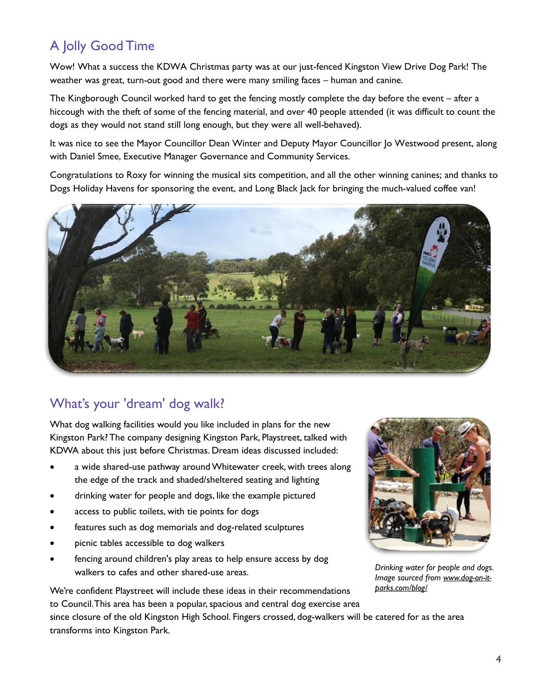# A Jolly Good Time

Wow! What a success the KDWA Christmas party was at our just-fenced Kingston View Drive Dog Park! The weather was great, turn-out good and there were many smiling faces – human and canine.

The Kingborough Council worked hard to get the fencing mostly complete the day before the event – after a hiccough with the theft of some of the fencing material, and over 40 people attended (it was difficult to count the dogs as they would not stand still long enough, but they were all well-behaved).

It was nice to see the Mayor Councillor Dean Winter and Deputy Mayor Councillor Jo Westwood present, along with Daniel Smee, Executive Manager Governance and Community Services.

Congratulations to Roxy for winning the musical sits competition, and all the other winning canines; and thanks to Dogs Holiday Havens for sponsoring the event, and Long Black Jack for bringing the much-valued coffee van!



# What's your 'dream' dog walk?

What dog walking facilities would you like included in plans for the new Kingston Park? The company designing Kingston Park, Playstreet, talked with KDWA about this just before Christmas. Dream ideas discussed included:

- a wide shared-use pathway around Whitewater creek, with trees along the edge of the track and shaded/sheltered seating and lighting
- drinking water for people and dogs, like the example pictured
- access to public toilets, with tie points for dogs
- features such as dog memorials and dog-related sculptures
- picnic tables accessible to dog walkers
- fencing around children's play areas to help ensure access by dog walkers to cafes and other shared-use areas.



*Drinking water for people and dogs. Image sourced from [www.dog-on-it](http://www.dog-on-it-parks.com/blog/)[parks.com/blog/](http://www.dog-on-it-parks.com/blog/)*

We're confident Playstreet will include these ideas in their recommendations to Council. This area has been a popular, spacious and central dog exercise area

since closure of the old Kingston High School. Fingers crossed, dog-walkers will be catered for as the area transforms into Kingston Park.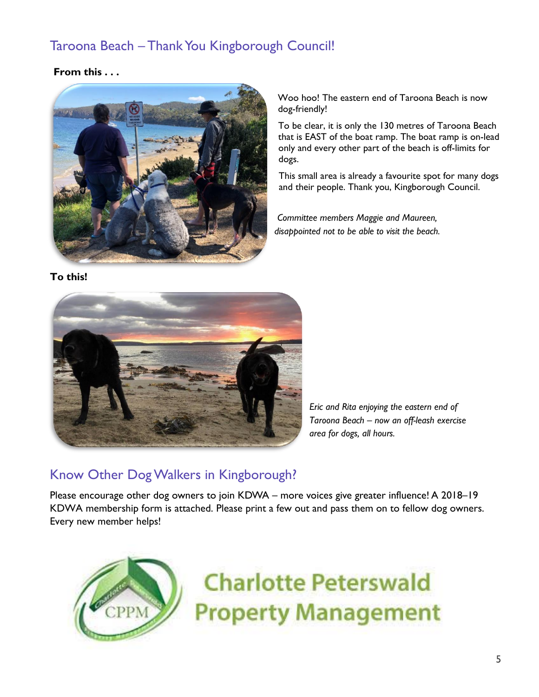# Taroona Beach – Thank You Kingborough Council!

### **From this . . .**



Woo hoo! The eastern end of Taroona Beach is now dog-friendly!

To be clear, it is only the 130 metres of Taroona Beach that is EAST of the boat ramp. The boat ramp is on-lead only and every other part of the beach is off-limits for dogs.

This small area is already a favourite spot for many dogs and their people. Thank you, Kingborough Council.

*Committee members Maggie and Maureen, disappointed not to be able to visit the beach.*

#### **To this!**



*Eric and Rita enjoying the eastern end of Taroona Beach – now an off-leash exercise area for dogs, all hours.*

## Know Other DogWalkers in Kingborough?

Please encourage other dog owners to join KDWA – more voices give greater influence! A 2018–19 KDWA membership form is attached. Please print a few out and pass them on to fellow dog owners. Every new member helps!



**Charlotte Peterswald Property Management**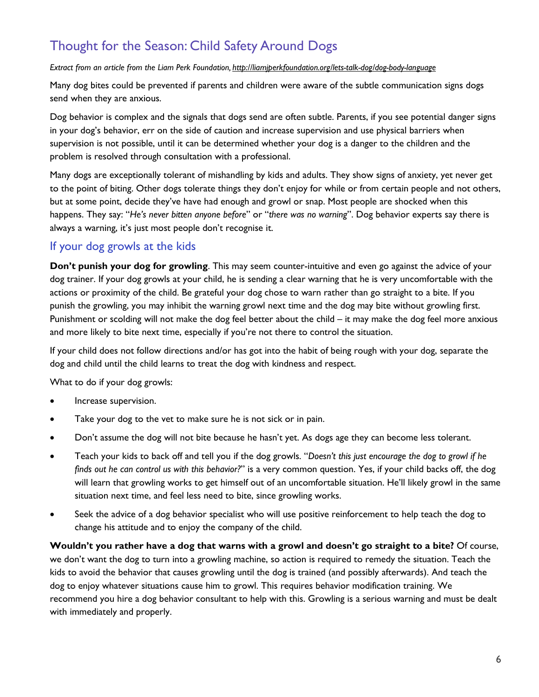# Thought for the Season: Child Safety Around Dogs

#### *Extract from an article from the Liam Perk Foundation, [http://liamjperkfoundation.org/lets-talk-dog/dog-body-language](http://liamjperkfoundation.org/lets-talk-dog/dog-body-language/)*

Many dog bites could be prevented if parents and children were aware of the subtle communication signs dogs send when they are anxious.

Dog behavior is complex and the signals that dogs send are often subtle. Parents, if you see potential danger signs in your dog's behavior, err on the side of caution and increase supervision and use physical barriers when supervision is not possible, until it can be determined whether your dog is a danger to the children and the problem is resolved through consultation with a professional.

Many dogs are exceptionally tolerant of mishandling by kids and adults. They show signs of anxiety, yet never get to the point of biting. Other dogs tolerate things they don't enjoy for while or from certain people and not others, but at some point, decide they've have had enough and growl or snap. Most people are shocked when this happens. They say: "*He's never bitten anyone before*" or "*there was no warning*". Dog behavior experts say there is always a warning, it's just most people don't recognise it.

## If your dog growls at the kids

**Don't punish your dog for growling**. This may seem counter-intuitive and even go against the advice of your dog trainer. If your dog growls at your child, he is sending a clear warning that he is very uncomfortable with the actions or proximity of the child. Be grateful your dog chose to warn rather than go straight to a bite. If you punish the growling, you may inhibit the warning growl next time and the dog may bite without growling first. Punishment or scolding will not make the dog feel better about the child – it may make the dog feel more anxious and more likely to bite next time, especially if you're not there to control the situation.

If your child does not follow directions and/or has got into the habit of being rough with your dog, separate the dog and child until the child learns to treat the dog with kindness and respect.

What to do if your dog growls:

- Increase supervision.
- Take your dog to the vet to make sure he is not sick or in pain.
- Don't assume the dog will not bite because he hasn't yet. As dogs age they can become less tolerant.
- Teach your kids to back off and tell you if the dog growls. "*Doesn't this just encourage the dog to growl if he finds out he can control us with this behavior?*" is a very common question. Yes, if your child backs off, the dog will learn that growling works to get himself out of an uncomfortable situation. He'll likely growl in the same situation next time, and feel less need to bite, since growling works.
- Seek the advice of a dog behavior specialist who will use positive reinforcement to help teach the dog to change his attitude and to enjoy the company of the child.

Wouldn't you rather have a dog that warns with a growl and doesn't go straight to a bite? Of course, we don't want the dog to turn into a growling machine, so action is required to remedy the situation. Teach the kids to avoid the behavior that causes growling until the dog is trained (and possibly afterwards). And teach the dog to enjoy whatever situations cause him to growl. This requires behavior modification training. We recommend you hire a dog behavior consultant to help with this. Growling is a serious warning and must be dealt with immediately and properly.